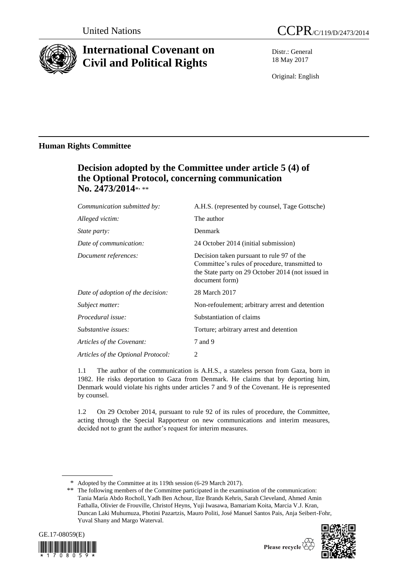

# **International Covenant on Civil and Political Rights**

Distr.: General 18 May 2017

Original: English

# **Human Rights Committee**

# **Decision adopted by the Committee under article 5 (4) of the Optional Protocol, concerning communication** No. 2473/2014\*, \*\*

| Communication submitted by:        | A.H.S. (represented by counsel, Tage Gottsche)                                                                                                                     |
|------------------------------------|--------------------------------------------------------------------------------------------------------------------------------------------------------------------|
| Alleged victim:                    | The author                                                                                                                                                         |
| <i>State party:</i>                | Denmark                                                                                                                                                            |
| Date of communication:             | 24 October 2014 (initial submission)                                                                                                                               |
| Document references:               | Decision taken pursuant to rule 97 of the<br>Committee's rules of procedure, transmitted to<br>the State party on 29 October 2014 (not issued in<br>document form) |
| Date of adoption of the decision:  | 28 March 2017                                                                                                                                                      |
| Subject matter:                    | Non-refoulement; arbitrary arrest and detention                                                                                                                    |
| Procedural issue:                  | Substantiation of claims                                                                                                                                           |
| Substantive issues:                | Torture; arbitrary arrest and detention                                                                                                                            |
| Articles of the Covenant:          | 7 and 9                                                                                                                                                            |
| Articles of the Optional Protocol: | 2                                                                                                                                                                  |

1.1 The author of the communication is A.H.S., a stateless person from Gaza, born in 1982. He risks deportation to Gaza from Denmark. He claims that by deporting him, Denmark would violate his rights under articles 7 and 9 of the Covenant. He is represented by counsel.

1.2 On 29 October 2014, pursuant to rule 92 of its rules of procedure, the Committee, acting through the Special Rapporteur on new communications and interim measures, decided not to grant the author's request for interim measures.

<sup>\*\*</sup> The following members of the Committee participated in the examination of the communication: Tania María Abdo Rocholl, Yadh Ben Achour, Ilze Brands Kehris, Sarah Cleveland, Ahmed Amin Fathalla, Olivier de Frouville, Christof Heyns, Yuji Iwasawa, Bamariam Koita, Marcia V.J. Kran, Duncan Laki Muhumuza, Photini Pazartzis, Mauro Politi, José Manuel Santos Pais, Anja Seibert-Fohr, Yuval Shany and Margo Waterval.







<sup>\*</sup> Adopted by the Committee at its 119th session (6-29 March 2017).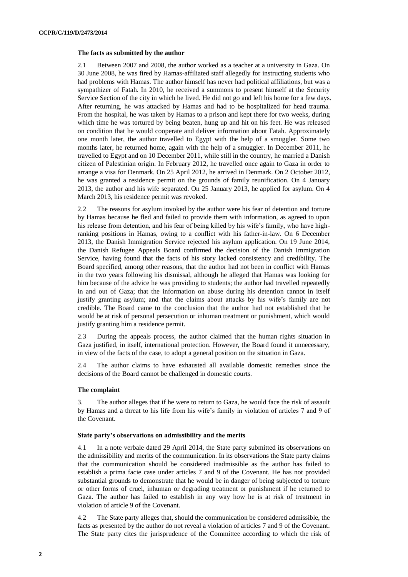# **The facts as submitted by the author**

2.1 Between 2007 and 2008, the author worked as a teacher at a university in Gaza. On 30 June 2008, he was fired by Hamas-affiliated staff allegedly for instructing students who had problems with Hamas. The author himself has never had political affiliations, but was a sympathizer of Fatah. In 2010, he received a summons to present himself at the Security Service Section of the city in which he lived. He did not go and left his home for a few days. After returning, he was attacked by Hamas and had to be hospitalized for head trauma. From the hospital, he was taken by Hamas to a prison and kept there for two weeks, during which time he was tortured by being beaten, hung up and hit on his feet. He was released on condition that he would cooperate and deliver information about Fatah. Approximately one month later, the author travelled to Egypt with the help of a smuggler. Some two months later, he returned home, again with the help of a smuggler. In December 2011, he travelled to Egypt and on 10 December 2011, while still in the country, he married a Danish citizen of Palestinian origin. In February 2012, he travelled once again to Gaza in order to arrange a visa for Denmark. On 25 April 2012, he arrived in Denmark. On 2 October 2012, he was granted a residence permit on the grounds of family reunification. On 4 January 2013, the author and his wife separated. On 25 January 2013, he applied for asylum. On 4 March 2013, his residence permit was revoked.

2.2 The reasons for asylum invoked by the author were his fear of detention and torture by Hamas because he fled and failed to provide them with information, as agreed to upon his release from detention, and his fear of being killed by his wife's family, who have highranking positions in Hamas, owing to a conflict with his father-in-law. On 6 December 2013, the Danish Immigration Service rejected his asylum application. On 19 June 2014, the Danish Refugee Appeals Board confirmed the decision of the Danish Immigration Service, having found that the facts of his story lacked consistency and credibility. The Board specified, among other reasons, that the author had not been in conflict with Hamas in the two years following his dismissal, although he alleged that Hamas was looking for him because of the advice he was providing to students; the author had travelled repeatedly in and out of Gaza; that the information on abuse during his detention cannot in itself justify granting asylum; and that the claims about attacks by his wife's family are not credible. The Board came to the conclusion that the author had not established that he would be at risk of personal persecution or inhuman treatment or punishment, which would justify granting him a residence permit.

2.3 During the appeals process, the author claimed that the human rights situation in Gaza justified, in itself, international protection. However, the Board found it unnecessary, in view of the facts of the case, to adopt a general position on the situation in Gaza.

2.4 The author claims to have exhausted all available domestic remedies since the decisions of the Board cannot be challenged in domestic courts.

# **The complaint**

3. The author alleges that if he were to return to Gaza, he would face the risk of assault by Hamas and a threat to his life from his wife's family in violation of articles 7 and 9 of the Covenant.

#### **State party's observations on admissibility and the merits**

4.1 In a note verbale dated 29 April 2014, the State party submitted its observations on the admissibility and merits of the communication. In its observations the State party claims that the communication should be considered inadmissible as the author has failed to establish a prima facie case under articles 7 and 9 of the Covenant. He has not provided substantial grounds to demonstrate that he would be in danger of being subjected to torture or other forms of cruel, inhuman or degrading treatment or punishment if he returned to Gaza. The author has failed to establish in any way how he is at risk of treatment in violation of article 9 of the Covenant.

4.2 The State party alleges that, should the communication be considered admissible, the facts as presented by the author do not reveal a violation of articles 7 and 9 of the Covenant. The State party cites the jurisprudence of the Committee according to which the risk of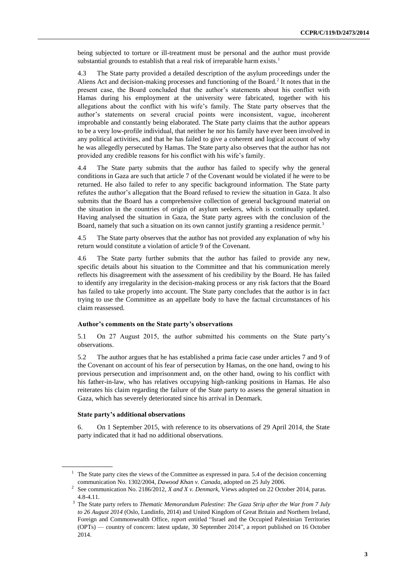being subjected to torture or ill-treatment must be personal and the author must provide substantial grounds to establish that a real risk of irreparable harm exists.<sup>1</sup>

4.3 The State party provided a detailed description of the asylum proceedings under the Aliens Act and decision-making processes and functioning of the Board.<sup>2</sup> It notes that in the present case, the Board concluded that the author's statements about his conflict with Hamas during his employment at the university were fabricated, together with his allegations about the conflict with his wife's family. The State party observes that the author's statements on several crucial points were inconsistent, vague, incoherent improbable and constantly being elaborated. The State party claims that the author appears to be a very low-profile individual, that neither he nor his family have ever been involved in any political activities, and that he has failed to give a coherent and logical account of why he was allegedly persecuted by Hamas. The State party also observes that the author has not provided any credible reasons for his conflict with his wife's family.

4.4 The State party submits that the author has failed to specify why the general conditions in Gaza are such that article 7 of the Covenant would be violated if he were to be returned. He also failed to refer to any specific background information. The State party refutes the author's allegation that the Board refused to review the situation in Gaza. It also submits that the Board has a comprehensive collection of general background material on the situation in the countries of origin of asylum seekers, which is continually updated. Having analysed the situation in Gaza, the State party agrees with the conclusion of the Board, namely that such a situation on its own cannot justify granting a residence permit.<sup>3</sup>

4.5 The State party observes that the author has not provided any explanation of why his return would constitute a violation of article 9 of the Covenant.

4.6 The State party further submits that the author has failed to provide any new, specific details about his situation to the Committee and that his communication merely reflects his disagreement with the assessment of his credibility by the Board. He has failed to identify any irregularity in the decision-making process or any risk factors that the Board has failed to take properly into account. The State party concludes that the author is in fact trying to use the Committee as an appellate body to have the factual circumstances of his claim reassessed.

# **Author's comments on the State party's observations**

5.1 On 27 August 2015, the author submitted his comments on the State party's observations.

5.2 The author argues that he has established a prima facie case under articles 7 and 9 of the Covenant on account of his fear of persecution by Hamas, on the one hand, owing to his previous persecution and imprisonment and, on the other hand, owing to his conflict with his father-in-law, who has relatives occupying high-ranking positions in Hamas. He also reiterates his claim regarding the failure of the State party to assess the general situation in Gaza, which has severely deteriorated since his arrival in Denmark.

### **State party's additional observations**

6. On 1 September 2015, with reference to its observations of 29 April 2014, the State party indicated that it had no additional observations.

<sup>&</sup>lt;sup>1</sup> The State party cites the views of the Committee as expressed in para. 5.4 of the decision concerning communication No. 1302/2004, *Dawood Khan v. Canada*, adopted on 25 July 2006.

<sup>2</sup> See communication No. 2186/2012, *X and X v. Denmark*, Views adopted on 22 October 2014, paras. 4.8-4.11.

<sup>3</sup> The State party refers to *Thematic Memorandum Palestine: The Gaza Strip after the War from 7 July to 26 August 2014* (Oslo, Landinfo, 2014) and United Kingdom of Great Britain and Northern Ireland, Foreign and Commonwealth Office, report entitled "Israel and the Occupied Palestinian Territories (OPTs) — country of concern: latest update, 30 September 2014", a report published on 16 October 2014.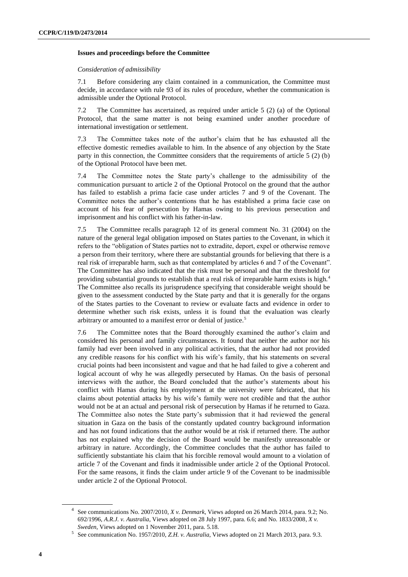# **Issues and proceedings before the Committee**

### *Consideration of admissibility*

7.1 Before considering any claim contained in a communication, the Committee must decide, in accordance with rule 93 of its rules of procedure, whether the communication is admissible under the Optional Protocol.

7.2 The Committee has ascertained, as required under article 5 (2) (a) of the Optional Protocol, that the same matter is not being examined under another procedure of international investigation or settlement.

7.3 The Committee takes note of the author's claim that he has exhausted all the effective domestic remedies available to him. In the absence of any objection by the State party in this connection, the Committee considers that the requirements of article 5 (2) (b) of the Optional Protocol have been met.

7.4 The Committee notes the State party's challenge to the admissibility of the communication pursuant to article 2 of the Optional Protocol on the ground that the author has failed to establish a prima facie case under articles 7 and 9 of the Covenant. The Committee notes the author's contentions that he has established a prima facie case on account of his fear of persecution by Hamas owing to his previous persecution and imprisonment and his conflict with his father-in-law.

7.5 The Committee recalls paragraph 12 of its general comment No. 31 (2004) on the nature of the general legal obligation imposed on States parties to the Covenant, in which it refers to the "obligation of States parties not to extradite, deport, expel or otherwise remove a person from their territory, where there are substantial grounds for believing that there is a real risk of irreparable harm, such as that contemplated by articles 6 and 7 of the Covenant". The Committee has also indicated that the risk must be personal and that the threshold for providing substantial grounds to establish that a real risk of irreparable harm exists is high.<sup>4</sup> The Committee also recalls its jurisprudence specifying that considerable weight should be given to the assessment conducted by the State party and that it is generally for the organs of the States parties to the Covenant to review or evaluate facts and evidence in order to determine whether such risk exists, unless it is found that the evaluation was clearly arbitrary or amounted to a manifest error or denial of justice.<sup>5</sup>

7.6 The Committee notes that the Board thoroughly examined the author's claim and considered his personal and family circumstances. It found that neither the author nor his family had ever been involved in any political activities, that the author had not provided any credible reasons for his conflict with his wife's family, that his statements on several crucial points had been inconsistent and vague and that he had failed to give a coherent and logical account of why he was allegedly persecuted by Hamas. On the basis of personal interviews with the author, the Board concluded that the author's statements about his conflict with Hamas during his employment at the university were fabricated, that his claims about potential attacks by his wife's family were not credible and that the author would not be at an actual and personal risk of persecution by Hamas if he returned to Gaza. The Committee also notes the State party's submission that it had reviewed the general situation in Gaza on the basis of the constantly updated country background information and has not found indications that the author would be at risk if returned there. The author has not explained why the decision of the Board would be manifestly unreasonable or arbitrary in nature. Accordingly, the Committee concludes that the author has failed to sufficiently substantiate his claim that his forcible removal would amount to a violation of article 7 of the Covenant and finds it inadmissible under article 2 of the Optional Protocol. For the same reasons, it finds the claim under article 9 of the Covenant to be inadmissible under article 2 of the Optional Protocol.

<sup>4</sup> See communications No. 2007/2010, *X v. Denmark*, Views adopted on 26 March 2014, para. 9.2; No. 692/1996, *A.R.J. v. Australia,* Views adopted on 28 July 1997, para. 6.6; and No. 1833/2008*, X v. Sweden*, Views adopted on 1 November 2011, para. 5.18.

<sup>5</sup> See communication No. 1957/2010, *Z.H. v. Australia*, Views adopted on 21 March 2013, para. 9.3.